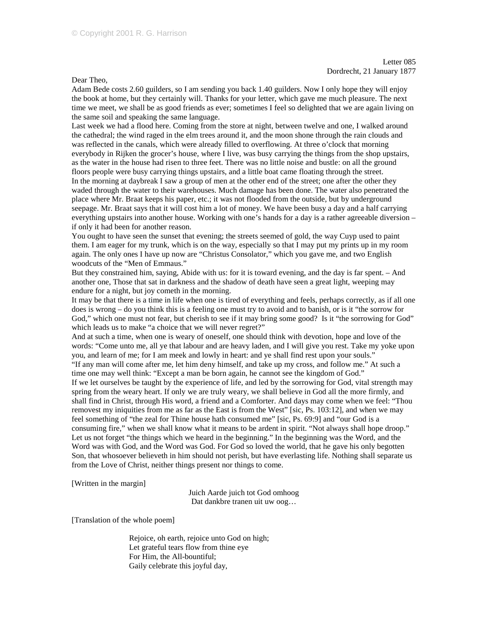Dear Theo,

Adam Bede costs 2.60 guilders, so I am sending you back 1.40 guilders. Now I only hope they will enjoy the book at home, but they certainly will. Thanks for your letter, which gave me much pleasure. The next time we meet, we shall be as good friends as ever; sometimes I feel so delighted that we are again living on the same soil and speaking the same language.

Last week we had a flood here. Coming from the store at night, between twelve and one, I walked around the cathedral; the wind raged in the elm trees around it, and the moon shone through the rain clouds and was reflected in the canals, which were already filled to overflowing. At three o'clock that morning everybody in Rijken the grocer's house, where I live, was busy carrying the things from the shop upstairs, as the water in the house had risen to three feet. There was no little noise and bustle: on all the ground floors people were busy carrying things upstairs, and a little boat came floating through the street. In the morning at daybreak I saw a group of men at the other end of the street; one after the other they waded through the water to their warehouses. Much damage has been done. The water also penetrated the place where Mr. Braat keeps his paper, etc.; it was not flooded from the outside, but by underground seepage. Mr. Braat says that it will cost him a lot of money. We have been busy a day and a half carrying everything upstairs into another house. Working with one's hands for a day is a rather agreeable diversion – if only it had been for another reason.

You ought to have seen the sunset that evening; the streets seemed of gold, the way Cuyp used to paint them. I am eager for my trunk, which is on the way, especially so that I may put my prints up in my room again. The only ones I have up now are "Christus Consolator," which you gave me, and two English woodcuts of the "Men of Emmaus."

But they constrained him, saying, Abide with us: for it is toward evening, and the day is far spent. – And another one, Those that sat in darkness and the shadow of death have seen a great light, weeping may endure for a night, but joy cometh in the morning.

It may be that there is a time in life when one is tired of everything and feels, perhaps correctly, as if all one does is wrong – do you think this is a feeling one must try to avoid and to banish, or is it "the sorrow for God," which one must not fear, but cherish to see if it may bring some good? Is it "the sorrowing for God" which leads us to make "a choice that we will never regret?"

And at such a time, when one is weary of oneself, one should think with devotion, hope and love of the words: "Come unto me, all ye that labour and are heavy laden, and I will give you rest. Take my yoke upon you, and learn of me; for I am meek and lowly in heart: and ye shall find rest upon your souls." "If any man will come after me, let him deny himself, and take up my cross, and follow me." At such a time one may well think: "Except a man be born again, he cannot see the kingdom of God." If we let ourselves be taught by the experience of life, and led by the sorrowing for God, vital strength may spring from the weary heart. If only we are truly weary, we shall believe in God all the more firmly, and shall find in Christ, through His word, a friend and a Comforter. And days may come when we feel: "Thou removest my iniquities from me as far as the East is from the West" [sic, Ps. 103:12], and when we may feel something of "the zeal for Thine house hath consumed me" [sic, Ps. 69:9] and "our God is a consuming fire," when we shall know what it means to be ardent in spirit. "Not always shall hope droop." Let us not forget "the things which we heard in the beginning." In the beginning was the Word, and the Word was with God, and the Word was God. For God so loved the world, that he gave his only begotten Son, that whosoever believeth in him should not perish, but have everlasting life. Nothing shall separate us from the Love of Christ, neither things present nor things to come.

[Written in the margin]

Juich Aarde juich tot God omhoog Dat dankbre tranen uit uw oog…

[Translation of the whole poem]

Rejoice, oh earth, rejoice unto God on high; Let grateful tears flow from thine eye For Him, the All-bountiful; Gaily celebrate this joyful day,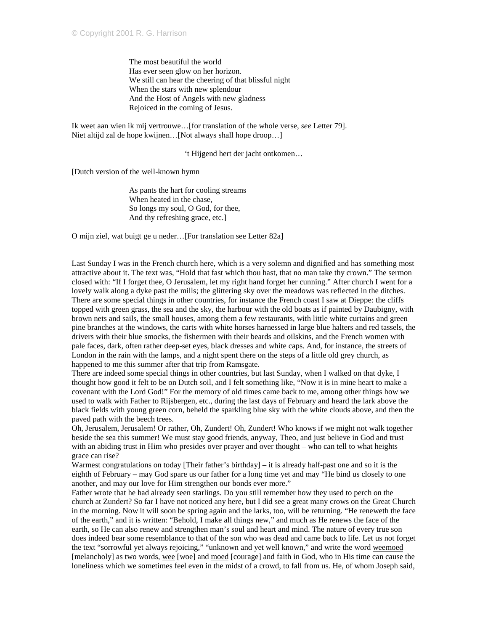The most beautiful the world Has ever seen glow on her horizon. We still can hear the cheering of that blissful night When the stars with new splendour And the Host of Angels with new gladness Rejoiced in the coming of Jesus.

Ik weet aan wien ik mij vertrouwe…[for translation of the whole verse, *see* Letter 79]. Niet altijd zal de hope kwijnen…[Not always shall hope droop…]

't Hijgend hert der jacht ontkomen…

[Dutch version of the well-known hymn

As pants the hart for cooling streams When heated in the chase, So longs my soul, O God, for thee, And thy refreshing grace, etc.]

O mijn ziel, wat buigt ge u neder…[For translation see Letter 82a]

Last Sunday I was in the French church here, which is a very solemn and dignified and has something most attractive about it. The text was, "Hold that fast which thou hast, that no man take thy crown." The sermon closed with: "If I forget thee, O Jerusalem, let my right hand forget her cunning." After church I went for a lovely walk along a dyke past the mills; the glittering sky over the meadows was reflected in the ditches. There are some special things in other countries, for instance the French coast I saw at Dieppe: the cliffs topped with green grass, the sea and the sky, the harbour with the old boats as if painted by Daubigny, with brown nets and sails, the small houses, among them a few restaurants, with little white curtains and green pine branches at the windows, the carts with white horses harnessed in large blue halters and red tassels, the drivers with their blue smocks, the fishermen with their beards and oilskins, and the French women with pale faces, dark, often rather deep-set eyes, black dresses and white caps. And, for instance, the streets of London in the rain with the lamps, and a night spent there on the steps of a little old grey church, as happened to me this summer after that trip from Ramsgate.

There are indeed some special things in other countries, but last Sunday, when I walked on that dyke, I thought how good it felt to be on Dutch soil, and I felt something like, "Now it is in mine heart to make a covenant with the Lord God!" For the memory of old times came back to me, among other things how we used to walk with Father to Rijsbergen, etc., during the last days of February and heard the lark above the black fields with young green corn, beheld the sparkling blue sky with the white clouds above, and then the paved path with the beech trees.

Oh, Jerusalem, Jerusalem! Or rather, Oh, Zundert! Oh, Zundert! Who knows if we might not walk together beside the sea this summer! We must stay good friends, anyway, Theo, and just believe in God and trust with an abiding trust in Him who presides over prayer and over thought – who can tell to what heights grace can rise?

Warmest congratulations on today [Their father's birthday] – it is already half-past one and so it is the eighth of February – may God spare us our father for a long time yet and may "He bind us closely to one another, and may our love for Him strengthen our bonds ever more."

Father wrote that he had already seen starlings. Do you still remember how they used to perch on the church at Zundert? So far I have not noticed any here, but I did see a great many crows on the Great Church in the morning. Now it will soon be spring again and the larks, too, will be returning. "He reneweth the face of the earth," and it is written: "Behold, I make all things new," and much as He renews the face of the earth, so He can also renew and strengthen man's soul and heart and mind. The nature of every true son does indeed bear some resemblance to that of the son who was dead and came back to life. Let us not forget the text "sorrowful yet always rejoicing," "unknown and yet well known," and write the word weemoed [melancholy] as two words, wee [woe] and moed [courage] and faith in God, who in His time can cause the loneliness which we sometimes feel even in the midst of a crowd, to fall from us. He, of whom Joseph said,